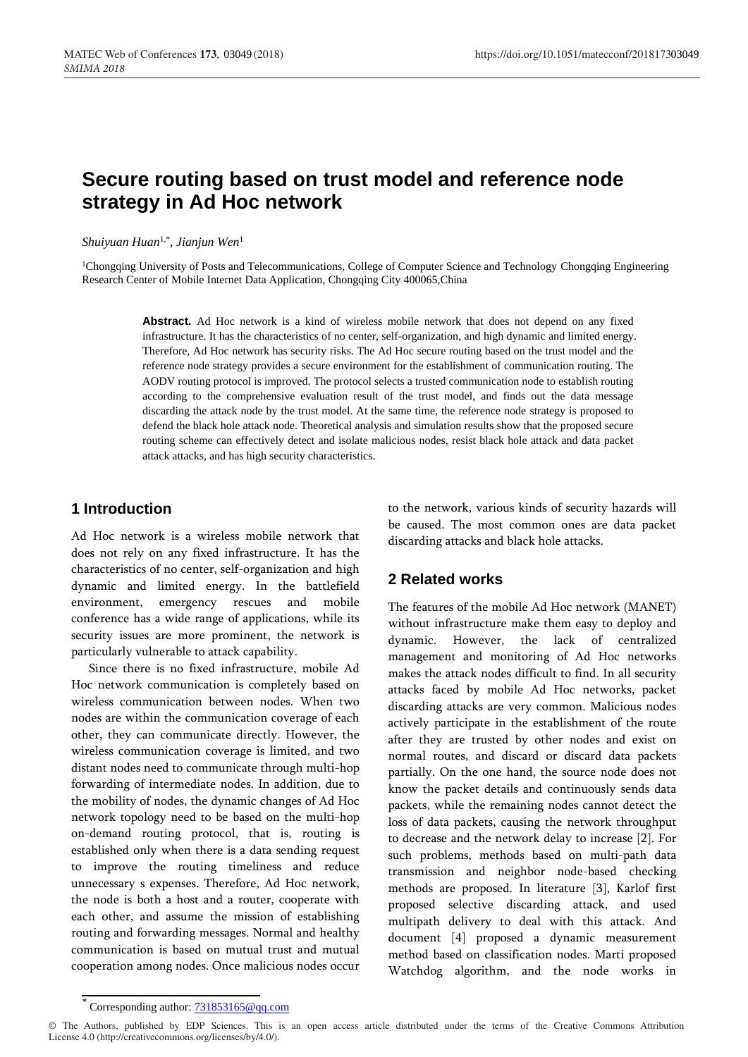# **Secure routing based on trust model and reference node strategy in Ad Hoc network**

*Shuiyuan Huan*1,\* , *Jianjun Wen*<sup>1</sup>

<sup>1</sup>Chongqing University of Posts and Telecommunications, College of Computer Science and Technology Chongqing Engineering Research Center of Mobile Internet Data Application, Chongqing City 400065,China

> **Abstract.** Ad Hoc network is a kind of wireless mobile network that does not depend on any fixed infrastructure. It has the characteristics of no center, self-organization, and high dynamic and limited energy. Therefore, Ad Hoc network has security risks. The Ad Hoc secure routing based on the trust model and the reference node strategy provides a secure environment for the establishment of communication routing. The AODV routing protocol is improved. The protocol selects a trusted communication node to establish routing according to the comprehensive evaluation result of the trust model, and finds out the data message discarding the attack node by the trust model. At the same time, the reference node strategy is proposed to defend the black hole attack node. Theoretical analysis and simulation results show that the proposed secure routing scheme can effectively detect and isolate malicious nodes, resist black hole attack and data packet attack attacks, and has high security characteristics.

# **1 Introduction**

Ad Hoc network is a wireless mobile network that does not rely on any fixed infrastructure. It has the characteristics of no center, self-organization and high dynamic and limited energy. In the battlefield environment, emergency rescues and mobile conference has a wide range of applications, while its security issues are more prominent, the network is particularly vulnerable to attack capability.

Since there is no fixed infrastructure, mobile Ad Hoc network communication is completely based on wireless communication between nodes. When two nodes are within the communication coverage of each other, they can communicate directly. However, the wireless communication coverage is limited, and two distant nodes need to communicate through multi-hop forwarding of intermediate nodes. In addition, due to the mobility of nodes, the dynamic changes of Ad Hoc network topology need to be based on the multi-hop on-demand routing protocol, that is, routing is established only when there is a data sending request to improve the routing timeliness and reduce unnecessary s expenses. Therefore, Ad Hoc network, the node is both a host and a router, cooperate with each other, and assume the mission of establishing routing and forwarding messages. Normal and healthy communication is based on mutual trust and mutual cooperation among nodes. Once malicious nodes occur

to the network, various kinds of security hazards will be caused. The most common ones are data packet discarding attacks and black hole attacks.

# **2 Related works**

The features of the mobile Ad Hoc network (MANET) without infrastructure make them easy to deploy and dynamic. However, the lack of centralized management and monitoring of Ad Hoc networks makes the attack nodes difficult to find. In all security attacks faced by mobile Ad Hoc networks, packet discarding attacks are very common. Malicious nodes actively participate in the establishment of the route after they are trusted by other nodes and exist on normal routes, and discard or discard data packets partially. On the one hand, the source node does not know the packet details and continuously sends data packets, while the remaining nodes cannot detect the loss of data packets, causing the network throughput to decrease and the network delay to increase [2]. For such problems, methods based on multi-path data transmission and neighbor node-based checking methods are proposed. In literature [3], Karlof first proposed selective discarding attack, and used multipath delivery to deal with this attack. And document [4] proposed a dynamic measurement method based on classification nodes. Marti proposed Watchdog algorithm, and the node works in

Corresponding author[: 731853165@qq.com](mailto:731853165@qq.com)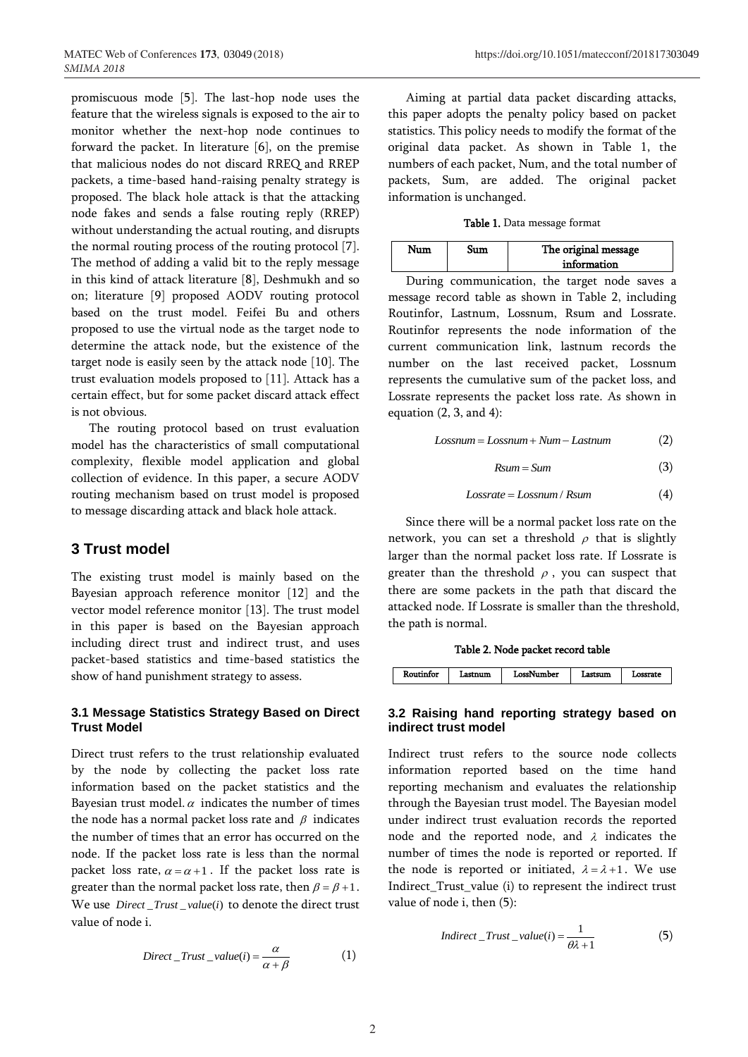promiscuous mode [5]. The last-hop node uses the feature that the wireless signals is exposed to the air to monitor whether the next-hop node continues to forward the packet. In literature [6], on the premise that malicious nodes do not discard RREQ and RREP packets, a time-based hand-raising penalty strategy is proposed. The black hole attack is that the attacking node fakes and sends a false routing reply (RREP) without understanding the actual routing, and disrupts the normal routing process of the routing protocol [7]. The method of adding a valid bit to the reply message in this kind of attack literature [8], Deshmukh and so on; literature [9] proposed AODV routing protocol based on the trust model. Feifei Bu and others proposed to use the virtual node as the target node to determine the attack node, but the existence of the target node is easily seen by the attack node [10]. The trust evaluation models proposed to [11]. Attack has a certain effect, but for some packet discard attack effect is not obvious.

The routing protocol based on trust evaluation model has the characteristics of small computational complexity, flexible model application and global collection of evidence. In this paper, a secure AODV routing mechanism based on trust model is proposed to message discarding attack and black hole attack.

# **3 Trust model**

The existing trust model is mainly based on the Bayesian approach reference monitor [12] and the vector model reference monitor [13]. The trust model in this paper is based on the Bayesian approach including direct trust and indirect trust, and uses packet-based statistics and time-based statistics the show of hand punishment strategy to assess.

### **3.1 Message Statistics Strategy Based on Direct Trust Model**

Direct trust refers to the trust relationship evaluated by the node by collecting the packet loss rate information based on the packet statistics and the Bayesian trust model.  $\alpha$  indicates the number of times the node has a normal packet loss rate and  $\,\beta\,$  indicates the number of times that an error has occurred on the node. If the packet loss rate is less than the normal packet loss rate,  $\alpha = \alpha + 1$ . If the packet loss rate is greater than the normal packet loss rate, then  $\beta = \beta + 1$ . We use *Direct* \_Trust \_value(i) to denote the direct trust value of node i.

$$
Direct\_Trust\_value(i) = \frac{\alpha}{\alpha + \beta} \tag{1}
$$

Aiming at partial data packet discarding attacks, this paper adopts the penalty policy based on packet statistics. This policy needs to modify the format of the original data packet. As shown in Table 1, the numbers of each packet, Num, and the total number of packets, Sum, are added. The original packet information is unchanged.

| Num | 811 M | The original message<br>information |
|-----|-------|-------------------------------------|
|     |       |                                     |

During communication, the target node saves a message record table as shown in Table 2, including Routinfor, Lastnum, Lossnum, Rsum and Lossrate. Routinfor represents the node information of the current communication link, lastnum records the number on the last received packet, Lossnum represents the cumulative sum of the packet loss, and Lossrate represents the packet loss rate. As shown in equation  $(2, 3, and 4)$ :

> $Lossnum = Lossnum + Num - Lastnum$ (2)

$$
Rsum = Sum \tag{3}
$$

$$
Loss rate = Lossnum / Rsum
$$
 (4)

Since there will be a normal packet loss rate on the network, you can set a threshold  $\rho$  that is slightly larger than the normal packet loss rate. If Lossrate is greater than the threshold  $\rho$ , you can suspect that there are some packets in the path that discard the attacked node. If Lossrate is smaller than the threshold, the path is normal.

Table 2. Node packet record table



# **3.2 Raising hand reporting strategy based on indirect trust model**

Indirect trust refers to the source node collects information reported based on the time hand reporting mechanism and evaluates the relationship through the Bayesian trust model. The Bayesian model under indirect trust evaluation records the reported node and the reported node, and  $\lambda$  indicates the number of times the node is reported or reported. If the node is reported or initiated,  $\lambda = \lambda + 1$ . We use Indirect\_Trust\_value (i) to represent the indirect trust value of node i, then (5):

$$
Indirect\_Trust\_value(i) = \frac{1}{\theta\lambda + 1}
$$
 (5)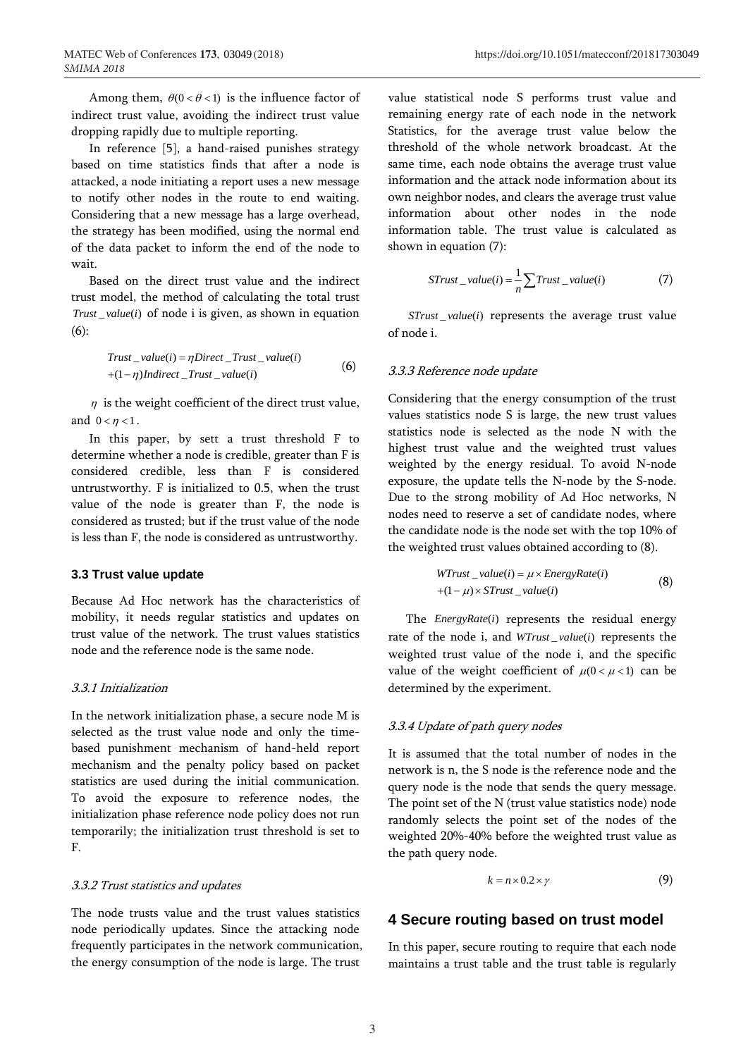Among them,  $\theta(0 < \theta < 1)$  is the influence factor of indirect trust value, avoiding the indirect trust value dropping rapidly due to multiple reporting.

In reference [5], a hand-raised punishes strategy based on time statistics finds that after a node is attacked, a node initiating a report uses a new message to notify other nodes in the route to end waiting. Considering that a new message has a large overhead, the strategy has been modified, using the normal end of the data packet to inform the end of the node to wait.

Based on the direct trust value and the indirect trust model, the method of calculating the total trust  $\textit{Trust\_value}(i)$  of node i is given, as shown in equation (6):

$$
Trust\_value(i) = \eta Direct\_Trust\_value(i)
$$
  
+(1-\eta)Indirect\\_Trust\\_value(i) (6)

 $\eta$  is the weight coefficient of the direct trust value, and  $0 < \eta < 1$ .

In this paper, by sett a trust threshold F to determine whether a node is credible, greater than F is considered credible, less than F is considered untrustworthy. F is initialized to 0.5, when the trust value of the node is greater than F, the node is considered as trusted; but if the trust value of the node is less than F, the node is considered as untrustworthy.

### **3.3 Trust value update**

Because Ad Hoc network has the characteristics of mobility, it needs regular statistics and updates on trust value of the network. The trust values statistics node and the reference node is the same node.

#### 3.3.1 Initialization

In the network initialization phase, a secure node M is selected as the trust value node and only the timebased punishment mechanism of hand-held report mechanism and the penalty policy based on packet statistics are used during the initial communication. To avoid the exposure to reference nodes, the initialization phase reference node policy does not run temporarily; the initialization trust threshold is set to F.

#### 3.3.2 Trust statistics and updates

The node trusts value and the trust values statistics node periodically updates. Since the attacking node frequently participates in the network communication, the energy consumption of the node is large. The trust

value statistical node S performs trust value and remaining energy rate of each node in the network Statistics, for the average trust value below the threshold of the whole network broadcast. At the same time, each node obtains the average trust value information and the attack node information about its own neighbor nodes, and clears the average trust value information about other nodes in the node information table. The trust value is calculated as shown in equation (7):

$$
STrust\_value(i) = \frac{1}{n} \sum Trust\_value(i)
$$
 (7)

STrust\_value(i) represents the average trust value of node i.

#### 3.3.3 Reference node update

Considering that the energy consumption of the trust values statistics node S is large, the new trust values statistics node is selected as the node N with the highest trust value and the weighted trust values weighted by the energy residual. To avoid N-node exposure, the update tells the N-node by the S-node. Due to the strong mobility of Ad Hoc networks, N nodes need to reserve a set of candidate nodes, where the candidate node is the node set with the top 10% of the weighted trust values obtained according to (8).

$$
WTrust\_value(i) = \mu \times EnergyRate(i)
$$
  
+(1- $\mu$ ) × STrust\\_value(i) (8)

The *EnergyRate(i)* represents the residual energy rate of the node i, and *WTrust* \_ value(i) represents the weighted trust value of the node i, and the specific value of the weight coefficient of  $\mu(0 < \mu < 1)$  can be determined by the experiment.

## 3.3.4 Update of path query nodes

It is assumed that the total number of nodes in the network is n, the S node is the reference node and the query node is the node that sends the query message. The point set of the N (trust value statistics node) node randomly selects the point set of the nodes of the weighted 20%-40% before the weighted trust value as the path query node.

$$
k = n \times 0.2 \times \gamma \tag{9}
$$

# **4 Secure routing based on trust model**

In this paper, secure routing to require that each node maintains a trust table and the trust table is regularly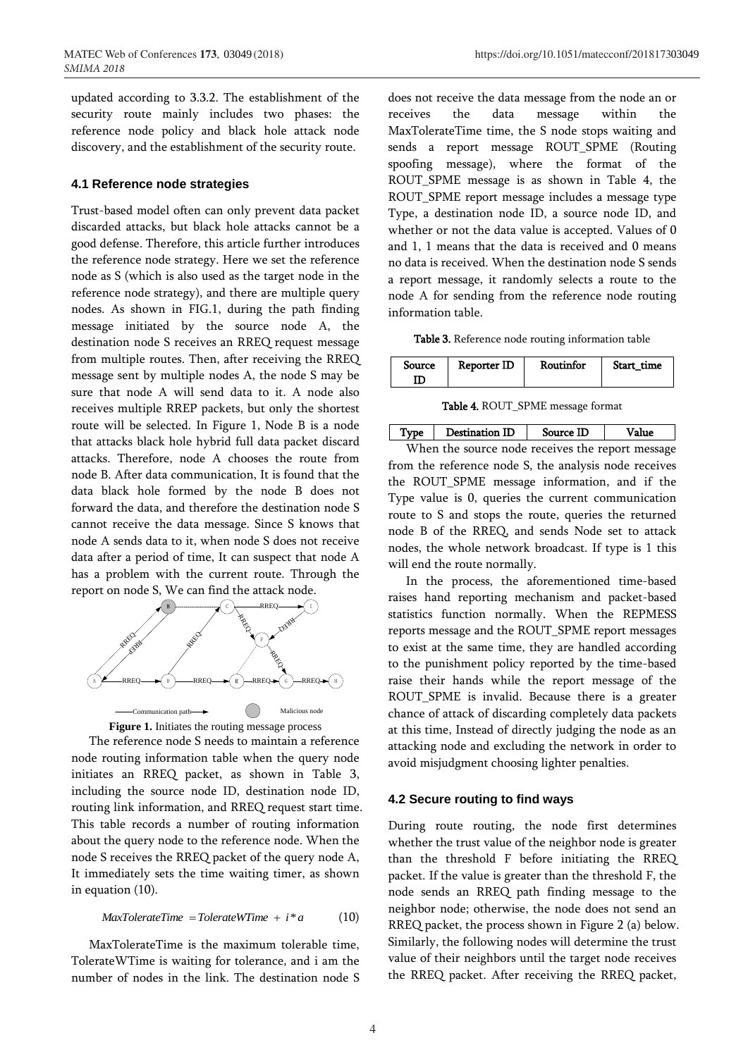updated according to 3.3.2. The establishment of the security route mainly includes two phases: the reference node policy and black hole attack node discovery, and the establishment of the security route.

#### **4.1 Reference node strategies**

Trust-based model often can only prevent data packet discarded attacks, but black hole attacks cannot be a good defense. Therefore, this article further introduces the reference node strategy. Here we set the reference node as S (which is also used as the target node in the reference node strategy), and there are multiple query nodes. As shown in FIG.1, during the path finding message initiated by the source node A, the destination node S receives an RREQ request message from multiple routes. Then, after receiving the RREQ message sent by multiple nodes A, the node S may be sure that node A will send data to it. A node also receives multiple RREP packets, but only the shortest route will be selected. In Figure 1, Node B is a node that attacks black hole hybrid full data packet discard attacks. Therefore, node A chooses the route from node B. After data communication, It is found that the data black hole formed by the node B does not forward the data, and therefore the destination node S cannot receive the data message. Since S knows that node A sends data to it, when node S does not receive data after a period of time, It can suspect that node A has a problem with the current route. Through the report on node S, We can find the attack node.





The reference node S needs to maintain a reference node routing information table when the query node initiates an RREQ packet, as shown in Table 3, including the source node ID, destination node ID, routing link information, and RREQ request start time. This table records a number of routing information about the query node to the reference node. When the node S receives the RREQ packet of the query node A, It immediately sets the time waiting timer, as shown in equation (10).

$$
MaxTolerance Time = Tolerance WTime + i * a \qquad (10)
$$

MaxTolerateTime is the maximum tolerable time, TolerateWTime is waiting for tolerance, and i am the number of nodes in the link. The destination node S

does not receive the data message from the node an or receives the data message within the MaxTolerateTime time, the S node stops waiting and sends a report message ROUT\_SPME (Routing spoofing message), where the format of the ROUT\_SPME message is as shown in Table 4, the ROUT\_SPME report message includes a message type Type, a destination node ID, a source node ID, and whether or not the data value is accepted. Values of 0 and 1, 1 means that the data is received and 0 means no data is received. When the destination node S sends a report message, it randomly selects a route to the node A for sending from the reference node routing information table.

Table 3. Reference node routing information table

| Routinfor<br>Reporter ID<br>Source | Start time |
|------------------------------------|------------|
|------------------------------------|------------|

Table 4. ROUT\_SPME message format

Type | Destination ID | Source ID | Value When the source node receives the report message from the reference node S, the analysis node receives the ROUT\_SPME message information, and if the Type value is 0, queries the current communication route to S and stops the route, queries the returned node B of the RREQ, and sends Node set to attack nodes, the whole network broadcast. If type is 1 this will end the route normally.

In the process, the aforementioned time-based raises hand reporting mechanism and packet-based statistics function normally. When the REPMESS reports message and the ROUT\_SPME report messages to exist at the same time, they are handled according to the punishment policy reported by the time-based raise their hands while the report message of the ROUT\_SPME is invalid. Because there is a greater chance of attack of discarding completely data packets at this time, Instead of directly judging the node as an attacking node and excluding the network in order to avoid misjudgment choosing lighter penalties.

#### **4.2 Secure routing to find ways**

During route routing, the node first determines whether the trust value of the neighbor node is greater than the threshold F before initiating the RREQ packet. If the value is greater than the threshold F, the node sends an RREQ path finding message to the neighbor node; otherwise, the node does not send an RREQ packet, the process shown in Figure 2 (a) below. Similarly, the following nodes will determine the trust value of their neighbors until the target node receives the RREQ packet. After receiving the RREQ packet,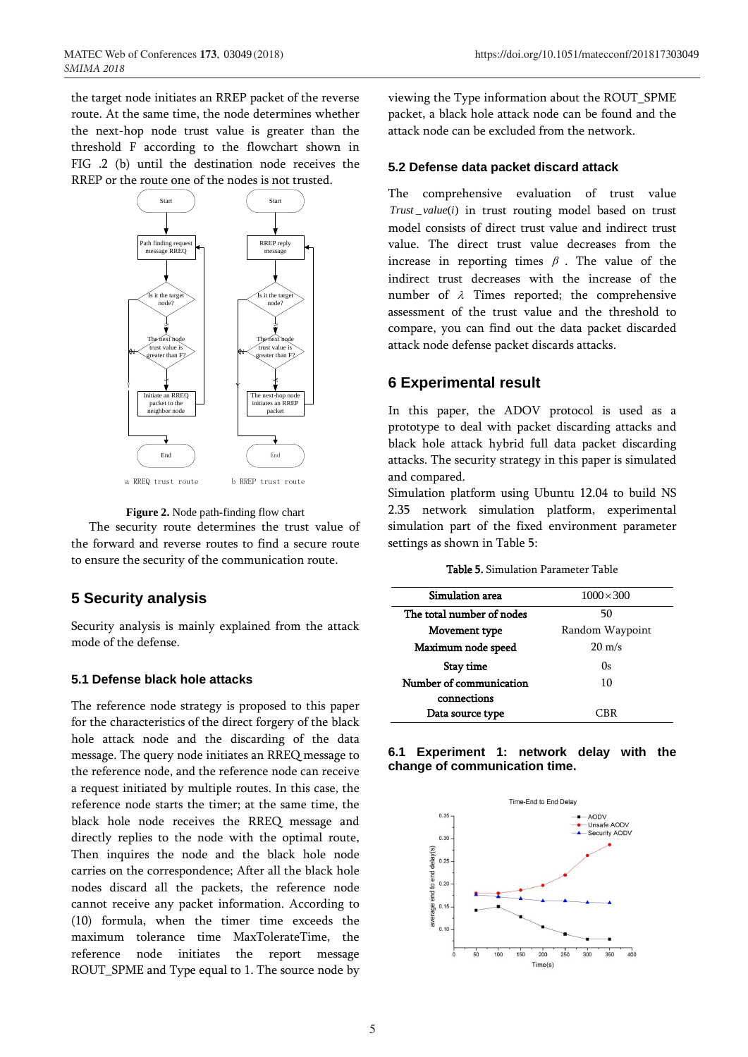the target node initiates an RREP packet of the reverse route. At the same time, the node determines whether the next-hop node trust value is greater than the threshold F according to the flowchart shown in FIG .2 (b) until the destination node receives the RREP or the route one of the nodes is not trusted.



**Figure 2.** Node path-finding flow chart

The security route determines the trust value of the forward and reverse routes to find a secure route to ensure the security of the communication route.

# **5 Security analysis**

Security analysis is mainly explained from the attack mode of the defense.

# **5.1 Defense black hole attacks**

The reference node strategy is proposed to this paper for the characteristics of the direct forgery of the black hole attack node and the discarding of the data message. The query node initiates an RREQ message to the reference node, and the reference node can receive a request initiated by multiple routes. In this case, the reference node starts the timer; at the same time, the black hole node receives the RREQ message and directly replies to the node with the optimal route, Then inquires the node and the black hole node carries on the correspondence; After all the black hole nodes discard all the packets, the reference node cannot receive any packet information. According to (10) formula, when the timer time exceeds the maximum tolerance time MaxTolerateTime, the reference node initiates the report message ROUT\_SPME and Type equal to 1. The source node by

viewing the Type information about the ROUT\_SPME packet, a black hole attack node can be found and the attack node can be excluded from the network.

#### **5.2 Defense data packet discard attack**

The comprehensive evaluation of trust value Trust\_value(i) in trust routing model based on trust model consists of direct trust value and indirect trust value. The direct trust value decreases from the increase in reporting times  $\beta$ . The value of the indirect trust decreases with the increase of the number of  $\lambda$  Times reported; the comprehensive assessment of the trust value and the threshold to compare, you can find out the data packet discarded attack node defense packet discards attacks.

# **6 Experimental result**

In this paper, the ADOV protocol is used as a prototype to deal with packet discarding attacks and black hole attack hybrid full data packet discarding attacks. The security strategy in this paper is simulated and compared.

Simulation platform using Ubuntu 12.04 to build NS 2.35 network simulation platform, experimental simulation part of the fixed environment parameter settings as shown in Table 5:

| <b>Table 5.</b> Simulation Parameter Table |  |
|--------------------------------------------|--|
|--------------------------------------------|--|

| Simulation area           | $1000 \times 300$ |
|---------------------------|-------------------|
| The total number of nodes | 50                |
| Movement type             | Random Waypoint   |
| Maximum node speed        | $20 \text{ m/s}$  |
| Stay time                 | 0s                |
| Number of communication   | 10                |
| connections               |                   |
| Data source type          | ∩RR               |

### **6.1 Experiment 1: network delay with the change of communication time.**

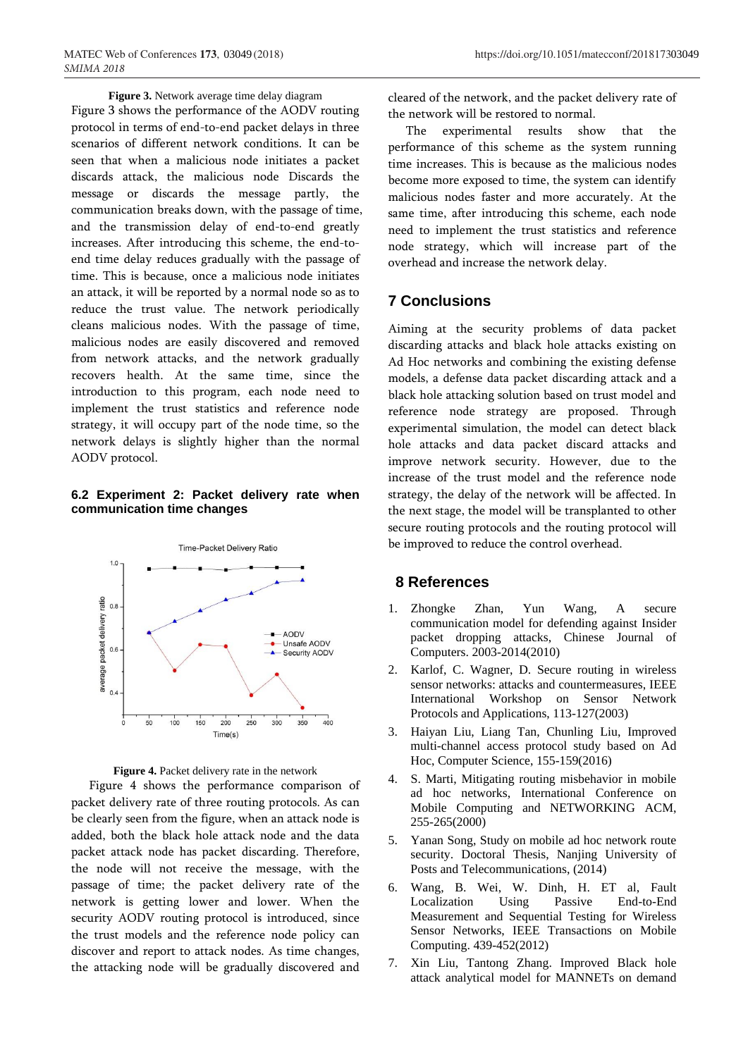Figure 3 shows the performance of the AODV routing protocol in terms of end-to-end packet delays in three scenarios of different network conditions. It can be seen that when a malicious node initiates a packet discards attack, the malicious node Discards the message or discards the message partly, the communication breaks down, with the passage of time, and the transmission delay of end-to-end greatly increases. After introducing this scheme, the end-toend time delay reduces gradually with the passage of time. This is because, once a malicious node initiates an attack, it will be reported by a normal node so as to reduce the trust value. The network periodically cleans malicious nodes. With the passage of time, malicious nodes are easily discovered and removed from network attacks, and the network gradually recovers health. At the same time, since the introduction to this program, each node need to implement the trust statistics and reference node strategy, it will occupy part of the node time, so the network delays is slightly higher than the normal AODV protocol.

## **6.2 Experiment 2: Packet delivery rate when communication time changes**



**Figure 4.** Packet delivery rate in the network

Figure 4 shows the performance comparison of packet delivery rate of three routing protocols. As can be clearly seen from the figure, when an attack node is added, both the black hole attack node and the data packet attack node has packet discarding. Therefore, the node will not receive the message, with the passage of time; the packet delivery rate of the network is getting lower and lower. When the security AODV routing protocol is introduced, since the trust models and the reference node policy can discover and report to attack nodes. As time changes, the attacking node will be gradually discovered and

cleared of the network, and the packet delivery rate of the network will be restored to normal.

The experimental results show that the performance of this scheme as the system running time increases. This is because as the malicious nodes become more exposed to time, the system can identify malicious nodes faster and more accurately. At the same time, after introducing this scheme, each node need to implement the trust statistics and reference node strategy, which will increase part of the overhead and increase the network delay.

# **7 Conclusions**

Aiming at the security problems of data packet discarding attacks and black hole attacks existing on Ad Hoc networks and combining the existing defense models, a defense data packet discarding attack and a black hole attacking solution based on trust model and reference node strategy are proposed. Through experimental simulation, the model can detect black hole attacks and data packet discard attacks and improve network security. However, due to the increase of the trust model and the reference node strategy, the delay of the network will be affected. In the next stage, the model will be transplanted to other secure routing protocols and the routing protocol will be improved to reduce the control overhead.

# **8 References**

- 1. Zhongke Zhan, Yun Wang, A secure communication model for defending against Insider packet dropping attacks, Chinese Journal of Computers. 2003-2014(2010)
- 2. Karlof, C. Wagner, D. Secure routing in wireless sensor networks: attacks and countermeasures, IEEE International Workshop on Sensor Network Protocols and Applications, 113-127(2003)
- 3. Haiyan Liu, Liang Tan, Chunling Liu, Improved multi-channel access protocol study based on Ad Hoc, Computer Science, 155-159(2016)
- 4. S. Marti, Mitigating routing misbehavior in mobile ad hoc networks, International Conference on Mobile Computing and NETWORKING ACM, 255-265(2000)
- 5. Yanan Song, Study on mobile ad hoc network route security. Doctoral Thesis, Nanjing University of Posts and Telecommunications, (2014)
- 6. Wang, B. Wei, W. Dinh, H. ET al, Fault Localization Using Passive End-to-End Measurement and Sequential Testing for Wireless Sensor Networks, IEEE Transactions on Mobile Computing. 439-452(2012)
- 7. Xin Liu, Tantong Zhang. Improved Black hole attack analytical model for MANNETs on demand